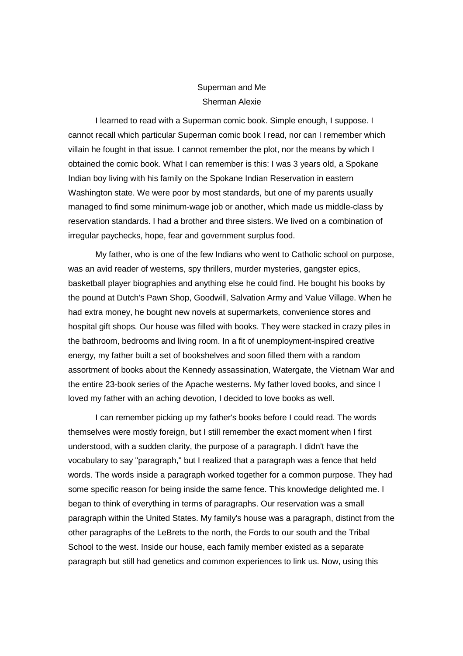## Superman and Me Sherman Alexie

I learned to read with a Superman comic book. Simple enough, I suppose. I cannot recall which particular Superman comic book I read, nor can I remember which villain he fought in that issue. I cannot remember the plot, nor the means by which I obtained the comic book. What I can remember is this: I was 3 years old, a Spokane Indian boy living with his family on the Spokane Indian Reservation in eastern Washington state. We were poor by most standards, but one of my parents usually managed to find some minimum-wage job or another, which made us middle-class by reservation standards. I had a brother and three sisters. We lived on a combination of irregular paychecks, hope, fear and government surplus food.

 My father, who is one of the few Indians who went to Catholic school on purpose, was an avid reader of westerns, spy thrillers, murder mysteries, gangster epics, basketball player biographies and anything else he could find. He bought his books by the pound at Dutch's Pawn Shop, Goodwill, Salvation Army and Value Village. When he had extra money, he bought new novels at supermarkets, convenience stores and hospital gift shops. Our house was filled with books. They were stacked in crazy piles in the bathroom, bedrooms and living room. In a fit of unemployment-inspired creative energy, my father built a set of bookshelves and soon filled them with a random assortment of books about the Kennedy assassination, Watergate, the Vietnam War and the entire 23-book series of the Apache westerns. My father loved books, and since I loved my father with an aching devotion, I decided to love books as well.

 I can remember picking up my father's books before I could read. The words themselves were mostly foreign, but I still remember the exact moment when I first understood, with a sudden clarity, the purpose of a paragraph. I didn't have the vocabulary to say "paragraph," but I realized that a paragraph was a fence that held words. The words inside a paragraph worked together for a common purpose. They had some specific reason for being inside the same fence. This knowledge delighted me. I began to think of everything in terms of paragraphs. Our reservation was a small paragraph within the United States. My family's house was a paragraph, distinct from the other paragraphs of the LeBrets to the north, the Fords to our south and the Tribal School to the west. Inside our house, each family member existed as a separate paragraph but still had genetics and common experiences to link us. Now, using this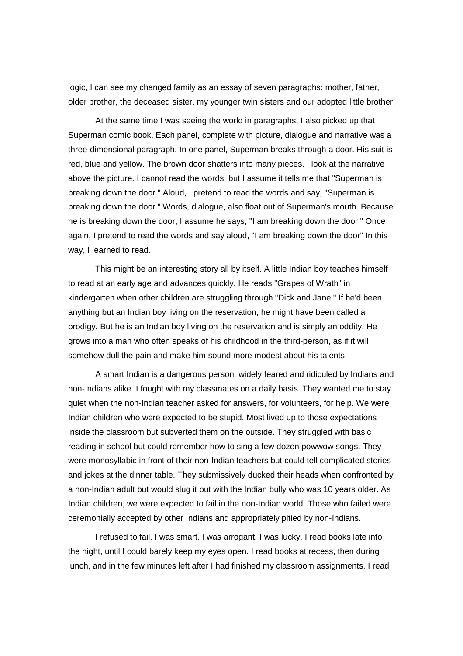logic, I can see my changed family as an essay of seven paragraphs: mother, father, older brother, the deceased sister, my younger twin sisters and our adopted little brother.

 At the same time I was seeing the world in paragraphs, I also picked up that Superman comic book. Each panel, complete with picture, dialogue and narrative was a three-dimensional paragraph. In one panel, Superman breaks through a door. His suit is red, blue and yellow. The brown door shatters into many pieces. I look at the narrative above the picture. I cannot read the words, but I assume it tells me that "Superman is breaking down the door." Aloud, I pretend to read the words and say, "Superman is breaking down the door." Words, dialogue, also float out of Superman's mouth. Because he is breaking down the door, I assume he says, "I am breaking down the door." Once again, I pretend to read the words and say aloud, "I am breaking down the door" In this way, I learned to read.

 This might be an interesting story all by itself. A little Indian boy teaches himself to read at an early age and advances quickly. He reads "Grapes of Wrath" in kindergarten when other children are struggling through "Dick and Jane." If he'd been anything but an Indian boy living on the reservation, he might have been called a prodigy. But he is an Indian boy living on the reservation and is simply an oddity. He grows into a man who often speaks of his childhood in the third-person, as if it will somehow dull the pain and make him sound more modest about his talents.

 A smart Indian is a dangerous person, widely feared and ridiculed by Indians and non-Indians alike. I fought with my classmates on a daily basis. They wanted me to stay quiet when the non-Indian teacher asked for answers, for volunteers, for help. We were Indian children who were expected to be stupid. Most lived up to those expectations inside the classroom but subverted them on the outside. They struggled with basic reading in school but could remember how to sing a few dozen powwow songs. They were monosyllabic in front of their non-Indian teachers but could tell complicated stories and jokes at the dinner table. They submissively ducked their heads when confronted by a non-Indian adult but would slug it out with the Indian bully who was 10 years older. As Indian children, we were expected to fail in the non-Indian world. Those who failed were ceremonially accepted by other Indians and appropriately pitied by non-Indians.

 I refused to fail. I was smart. I was arrogant. I was lucky. I read books late into the night, until I could barely keep my eyes open. I read books at recess, then during lunch, and in the few minutes left after I had finished my classroom assignments. I read